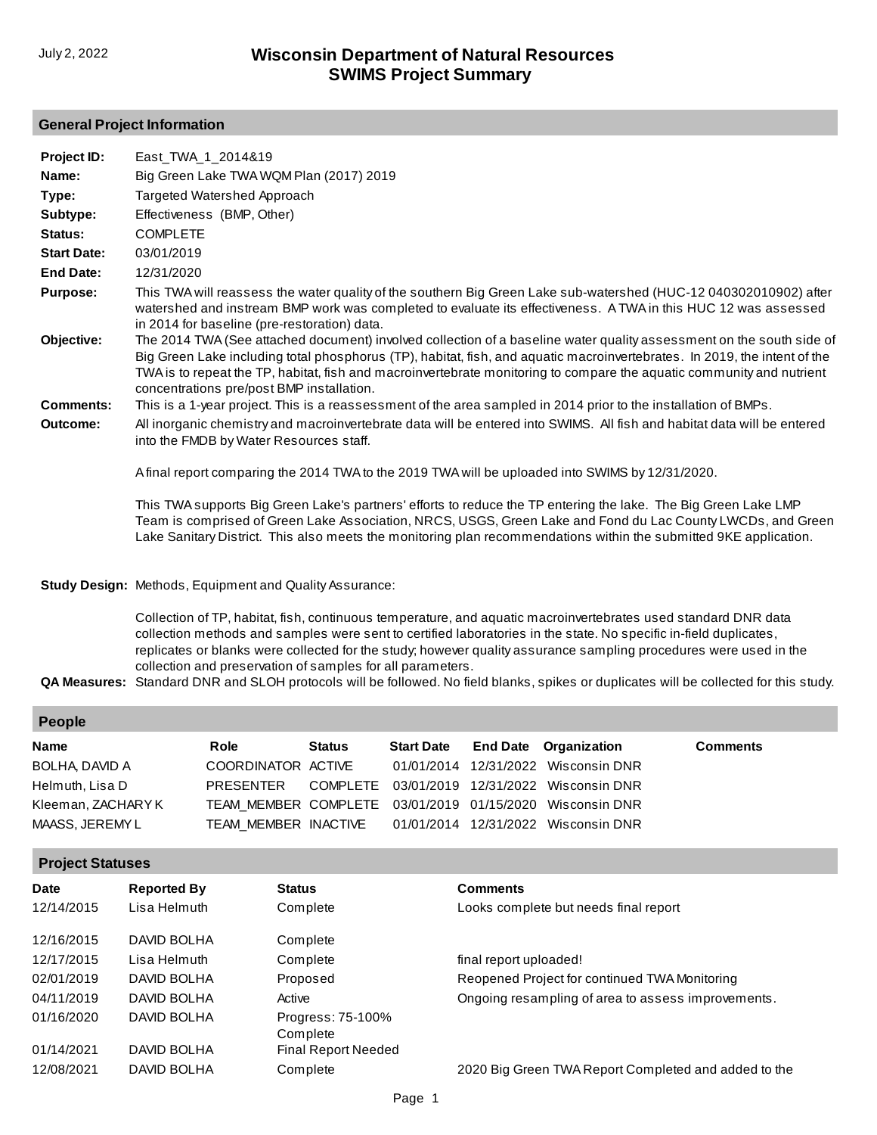#### **General Project Information**

| Project ID:        | East_TWA_1_2014&19                                                                                                                                                                                                                                                                                                                                                                                                      |
|--------------------|-------------------------------------------------------------------------------------------------------------------------------------------------------------------------------------------------------------------------------------------------------------------------------------------------------------------------------------------------------------------------------------------------------------------------|
| Name:              | Big Green Lake TWA WQM Plan (2017) 2019                                                                                                                                                                                                                                                                                                                                                                                 |
| Type:              | Targeted Watershed Approach                                                                                                                                                                                                                                                                                                                                                                                             |
| Subtype:           | Effectiveness (BMP, Other)                                                                                                                                                                                                                                                                                                                                                                                              |
| Status:            | <b>COMPLETE</b>                                                                                                                                                                                                                                                                                                                                                                                                         |
| <b>Start Date:</b> | 03/01/2019                                                                                                                                                                                                                                                                                                                                                                                                              |
| End Date:          | 12/31/2020                                                                                                                                                                                                                                                                                                                                                                                                              |
| <b>Purpose:</b>    | This TWA will reassess the water quality of the southern Big Green Lake sub-watershed (HUC-12 040302010902) after<br>watershed and instream BMP work was completed to evaluate its effectiveness. A TWA in this HUC 12 was assessed<br>in 2014 for baseline (pre-restoration) data.                                                                                                                                     |
| Objective:         | The 2014 TWA (See attached document) involved collection of a baseline water quality assessment on the south side of<br>Big Green Lake including total phosphorus (TP), habitat, fish, and aquatic macroinvertebrates. In 2019, the intent of the<br>TWA is to repeat the TP, habitat, fish and macroinvertebrate monitoring to compare the aquatic community and nutrient<br>concentrations pre/post BMP installation. |
| <b>Comments:</b>   | This is a 1-year project. This is a reassessment of the area sampled in 2014 prior to the installation of BMPs.                                                                                                                                                                                                                                                                                                         |
| Outcome:           | All inorganic chemistry and macroinvertebrate data will be entered into SWIMS. All fish and habitat data will be entered<br>into the FMDB by Water Resources staff.                                                                                                                                                                                                                                                     |
|                    | A final report comparing the 2014 TWA to the 2019 TWA will be uploaded into SWIMS by 12/31/2020.                                                                                                                                                                                                                                                                                                                        |

This TWA supports Big Green Lake's partners' efforts to reduce the TP entering the lake. The Big Green Lake LMP [Team is comprised of Green Lake Association, NRCS, USGS, Green Lake and Fond du Lac County LWCDs, and Green](http://prodoasint.dnr.wi.gov/swims/viewPlan.do?id=88317317)  Lake Sanitary District. This also meets the monitoring plan recommendations within the submitted 9KE application.

#### **Study Design:** Methods, Equipment and Quality Assurance:

Collection of TP, habitat, fish, continuous temperature, and aquatic macroinvertebrates used standard DNR data collection methods and samples were sent to certified laboratories in the state. No specific in-field duplicates, replicates or blanks were collected for the study; however quality assurance sampling procedures were used in the collection and preservation of samples for all parameters.

**QA Measures:** Standard DNR and SLOH protocols will be followed. No field blanks, spikes or duplicates will be collected for this study.

| People                |                    |        |                   |                                                              |                 |
|-----------------------|--------------------|--------|-------------------|--------------------------------------------------------------|-----------------|
| <b>Name</b>           | Role               | Status | <b>Start Date</b> | <b>End Date</b> Organization                                 | <b>Comments</b> |
| <b>BOLHA, DAVID A</b> | COORDINATOR ACTIVE |        |                   | 01/01/2014 12/31/2022 Wisconsin DNR                          |                 |
| Helmuth, Lisa D       | PRESENTER          |        |                   | COMPLETE 03/01/2019 12/31/2022 Wisconsin DNR                 |                 |
| Kleeman, ZACHARY K    |                    |        |                   | TEAM MEMBER COMPLETE 03/01/2019 01/15/2020 Wisconsin DNR     |                 |
| MAASS. JEREMY L       |                    |        |                   | TEAM_MEMBER_INACTIVE   01/01/2014  12/31/2022  Wisconsin DNR |                 |

#### **Project Statuses**

| Date       | <b>Reported By</b> | <b>Status</b>                 | <b>Comments</b>                                      |
|------------|--------------------|-------------------------------|------------------------------------------------------|
| 12/14/2015 | Lisa Helmuth       | Complete                      | Looks complete but needs final report                |
| 12/16/2015 | DAVID BOLHA        | Complete                      |                                                      |
| 12/17/2015 | Lisa Helmuth       | Complete                      | final report uploaded!                               |
| 02/01/2019 | DAVID BOLHA        | Proposed                      | Reopened Project for continued TWA Monitoring        |
| 04/11/2019 | DAVID BOLHA        | Active                        | Ongoing resampling of area to assess improvements.   |
| 01/16/2020 | DAVID BOLHA        | Progress: 75-100%<br>Complete |                                                      |
| 01/14/2021 | DAVID BOLHA        | Final Report Needed           |                                                      |
| 12/08/2021 | DAVID BOLHA        | Complete                      | 2020 Big Green TWA Report Completed and added to the |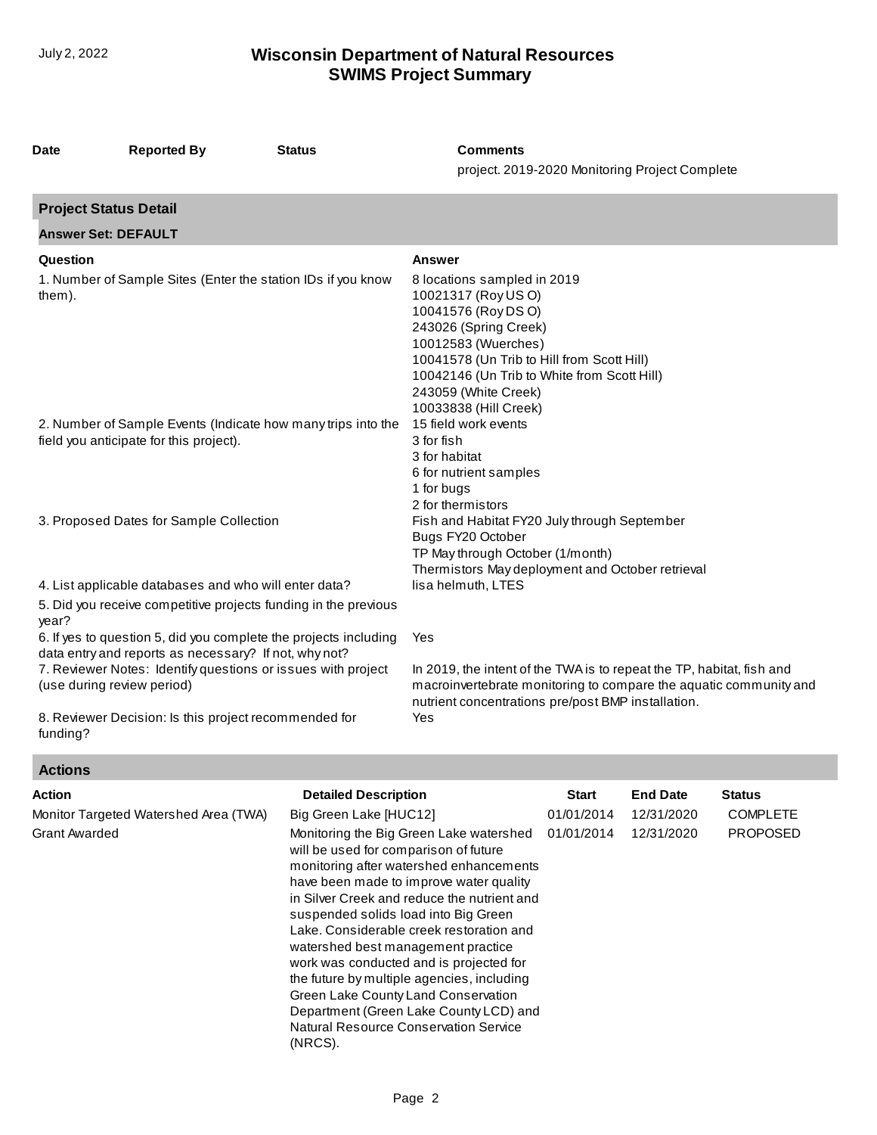| <b>Date</b>                  | <b>Reported By</b>                                                                                                    | <b>Status</b>                                                    | <b>Comments</b><br>project. 2019-2020 Monitoring Project Complete                                                                                                                                                                                                       |
|------------------------------|-----------------------------------------------------------------------------------------------------------------------|------------------------------------------------------------------|-------------------------------------------------------------------------------------------------------------------------------------------------------------------------------------------------------------------------------------------------------------------------|
| <b>Project Status Detail</b> |                                                                                                                       |                                                                  |                                                                                                                                                                                                                                                                         |
| <b>Answer Set: DEFAULT</b>   |                                                                                                                       |                                                                  |                                                                                                                                                                                                                                                                         |
| Question                     |                                                                                                                       |                                                                  | <b>Answer</b>                                                                                                                                                                                                                                                           |
| them).                       | 1. Number of Sample Sites (Enter the station IDs if you know                                                          |                                                                  | 8 locations sampled in 2019<br>10021317 (Roy US O)<br>10041576 (Roy DS O)<br>243026 (Spring Creek)<br>10012583 (Wuerches)<br>10041578 (Un Trib to Hill from Scott Hill)<br>10042146 (Un Trib to White from Scott Hill)<br>243059 (White Creek)<br>10033838 (Hill Creek) |
|                              | field you anticipate for this project).                                                                               | 2. Number of Sample Events (Indicate how many trips into the     | 15 field work events<br>3 for fish<br>3 for habitat<br>6 for nutrient samples<br>1 for bugs<br>2 for thermistors                                                                                                                                                        |
|                              | 3. Proposed Dates for Sample Collection                                                                               |                                                                  | Fish and Habitat FY20 July through September<br>Bugs FY20 October<br>TP May through October (1/month)<br>Thermistors May deployment and October retrieval                                                                                                               |
| year?                        | 4. List applicable databases and who will enter data?                                                                 | 5. Did you receive competitive projects funding in the previous  | lisa helmuth, LTES                                                                                                                                                                                                                                                      |
| (use during review period)   | data entry and reports as necessary? If not, why not?<br>7. Reviewer Notes: Identify questions or issues with project | 6. If yes to question 5, did you complete the projects including | Yes<br>In 2019, the intent of the TWA is to repeat the TP, habitat, fish and<br>macroinvertebrate monitoring to compare the aquatic community and<br>nutrient concentrations pre/post BMP installation.<br>Yes                                                          |
| funding?                     | 8. Reviewer Decision: Is this project recommended for                                                                 |                                                                  |                                                                                                                                                                                                                                                                         |

# **Actions**

| <b>Action</b><br>Monitor Targeted Watershed Area (TWA)<br><b>Grant Awarded</b> | <b>Detailed Description</b><br>Big Green Lake [HUC12]<br>Monitoring the Big Green Lake watershed<br>will be used for comparison of future<br>monitoring after watershed enhancements<br>have been made to improve water quality<br>in Silver Creek and reduce the nutrient and<br>suspended solids load into Big Green<br>Lake. Considerable creek restoration and<br>watershed best management practice<br>work was conducted and is projected for<br>the future by multiple agencies, including<br>Green Lake County Land Conservation<br>Department (Green Lake County LCD) and<br>Natural Resource Conservation Service | Start<br>01/01/2014<br>01/01/2014 | <b>End Date</b><br>12/31/2020<br>12/31/2020 | <b>Status</b><br><b>COMPLETE</b><br><b>PROPOSED</b> |
|--------------------------------------------------------------------------------|-----------------------------------------------------------------------------------------------------------------------------------------------------------------------------------------------------------------------------------------------------------------------------------------------------------------------------------------------------------------------------------------------------------------------------------------------------------------------------------------------------------------------------------------------------------------------------------------------------------------------------|-----------------------------------|---------------------------------------------|-----------------------------------------------------|
|                                                                                | (NRCS).                                                                                                                                                                                                                                                                                                                                                                                                                                                                                                                                                                                                                     |                                   |                                             |                                                     |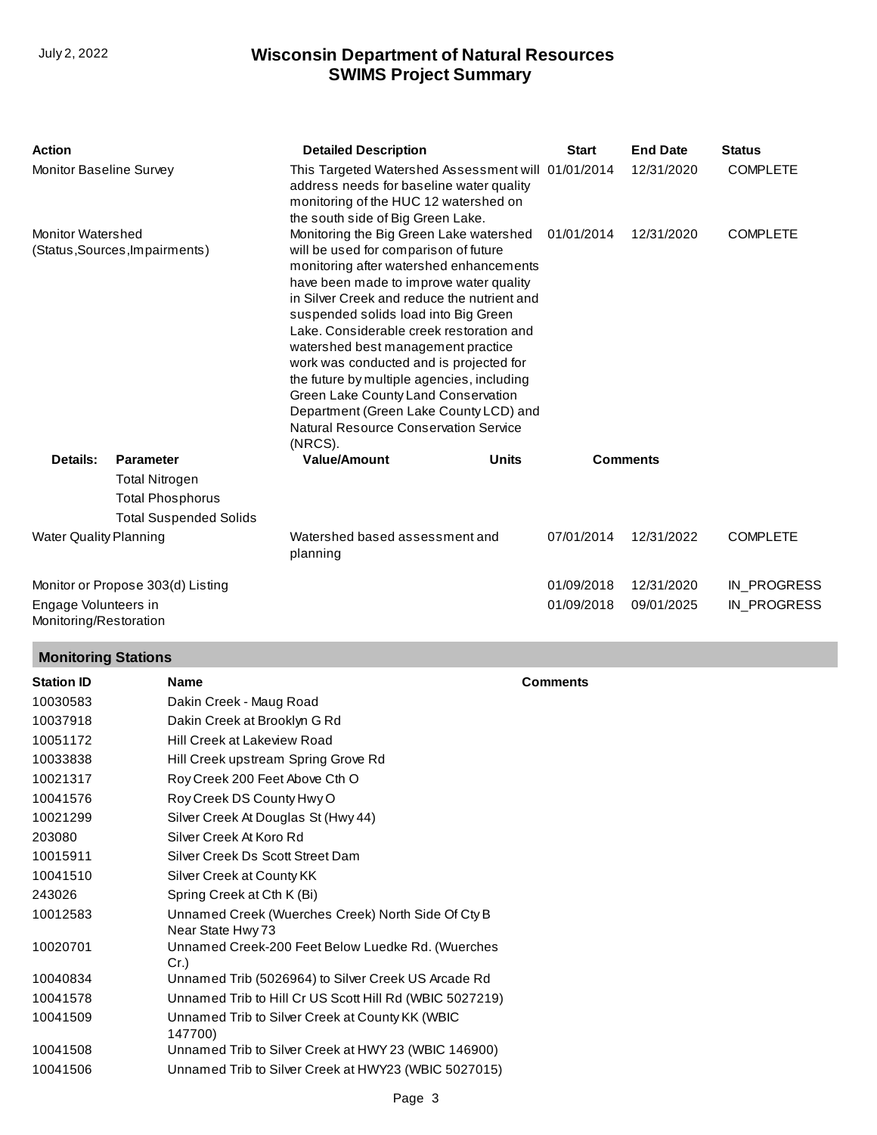| <b>Action</b>                                              |                                                                                   | <b>Detailed Description</b>                                                                                                                                                                                                                                                                                                                                                                                                                                                                                                                                                   | <b>Start</b> | <b>End Date</b> | <b>Status</b>   |
|------------------------------------------------------------|-----------------------------------------------------------------------------------|-------------------------------------------------------------------------------------------------------------------------------------------------------------------------------------------------------------------------------------------------------------------------------------------------------------------------------------------------------------------------------------------------------------------------------------------------------------------------------------------------------------------------------------------------------------------------------|--------------|-----------------|-----------------|
| Monitor Baseline Survey                                    |                                                                                   | This Targeted Watershed Assessment will 01/01/2014<br>address needs for baseline water quality<br>monitoring of the HUC 12 watershed on<br>the south side of Big Green Lake.                                                                                                                                                                                                                                                                                                                                                                                                  |              | 12/31/2020      | <b>COMPLETE</b> |
| <b>Monitor Watershed</b><br>(Status, Sources, Impairments) |                                                                                   | Monitoring the Big Green Lake watershed<br>will be used for comparison of future<br>monitoring after watershed enhancements<br>have been made to improve water quality<br>in Silver Creek and reduce the nutrient and<br>suspended solids load into Big Green<br>Lake, Considerable creek restoration and<br>watershed best management practice<br>work was conducted and is projected for<br>the future by multiple agencies, including<br>Green Lake County Land Conservation<br>Department (Green Lake County LCD) and<br>Natural Resource Conservation Service<br>(NRCS). | 01/01/2014   | 12/31/2020      | <b>COMPLETE</b> |
| Details:                                                   | <b>Parameter</b>                                                                  | <b>Value/Amount</b><br><b>Units</b>                                                                                                                                                                                                                                                                                                                                                                                                                                                                                                                                           |              | <b>Comments</b> |                 |
|                                                            | <b>Total Nitrogen</b><br><b>Total Phosphorus</b><br><b>Total Suspended Solids</b> |                                                                                                                                                                                                                                                                                                                                                                                                                                                                                                                                                                               |              |                 |                 |
| <b>Water Quality Planning</b>                              |                                                                                   | Watershed based assessment and<br>planning                                                                                                                                                                                                                                                                                                                                                                                                                                                                                                                                    | 07/01/2014   | 12/31/2022      | <b>COMPLETE</b> |
| Monitor or Propose 303(d) Listing                          |                                                                                   |                                                                                                                                                                                                                                                                                                                                                                                                                                                                                                                                                                               | 01/09/2018   | 12/31/2020      | IN_PROGRESS     |
| Engage Volunteers in<br>Monitoring/Restoration             |                                                                                   |                                                                                                                                                                                                                                                                                                                                                                                                                                                                                                                                                                               | 01/09/2018   | 09/01/2025      | IN_PROGRESS     |

# **Monitoring Stations**

| <b>Station ID</b> | <b>Name</b>                                                             | <b>Comments</b> |
|-------------------|-------------------------------------------------------------------------|-----------------|
| 10030583          | Dakin Creek - Maug Road                                                 |                 |
| 10037918          | Dakin Creek at Brooklyn G Rd                                            |                 |
| 10051172          | Hill Creek at Lakeview Road                                             |                 |
| 10033838          | Hill Creek upstream Spring Grove Rd                                     |                 |
| 10021317          | Roy Creek 200 Feet Above Cth O                                          |                 |
| 10041576          | Roy Creek DS County Hwy O                                               |                 |
| 10021299          | Silver Creek At Douglas St (Hwy 44)                                     |                 |
| 203080            | Silver Creek At Koro Rd                                                 |                 |
| 10015911          | Silver Creek Ds Scott Street Dam                                        |                 |
| 10041510          | Silver Creek at County KK                                               |                 |
| 243026            | Spring Creek at Cth K (Bi)                                              |                 |
| 10012583          | Unnamed Creek (Wuerches Creek) North Side Of Cty B<br>Near State Hwy 73 |                 |
| 10020701          | Unnamed Creek-200 Feet Below Luedke Rd. (Wuerches<br>Cr.                |                 |
| 10040834          | Unnamed Trib (5026964) to Silver Creek US Arcade Rd                     |                 |
| 10041578          | Unnamed Trib to Hill Cr US Scott Hill Rd (WBIC 5027219)                 |                 |
| 10041509          | Unnamed Trib to Silver Creek at County KK (WBIC<br>147700)              |                 |
| 10041508          | Unnamed Trib to Silver Creek at HWY 23 (WBIC 146900)                    |                 |
| 10041506          | Unnamed Trib to Silver Creek at HWY23 (WBIC 5027015)                    |                 |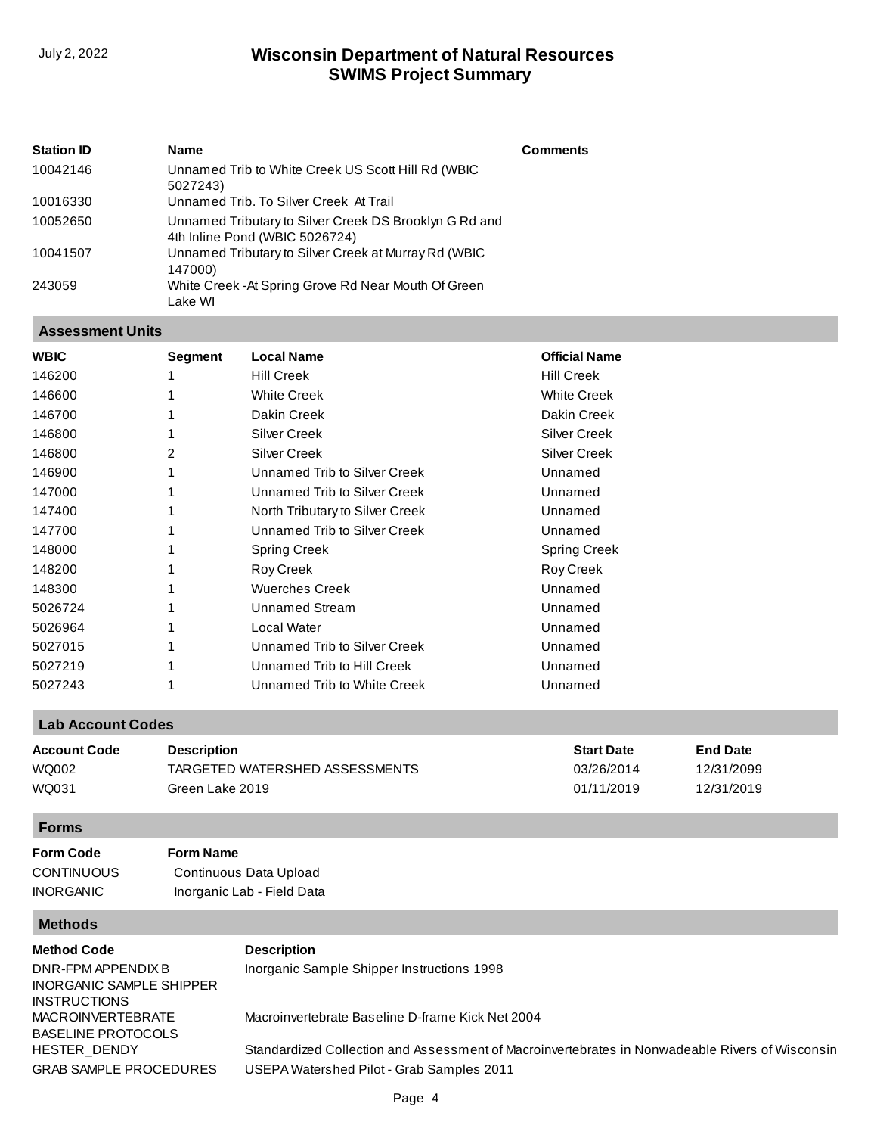| <b>Station ID</b> | <b>Name</b>                                                                              | <b>Comments</b> |
|-------------------|------------------------------------------------------------------------------------------|-----------------|
| 10042146          | Unnamed Trib to White Creek US Scott Hill Rd (WBIC<br>5027243)                           |                 |
| 10016330          | Unnamed Trib. To Silver Creek At Trail                                                   |                 |
| 10052650          | Unnamed Tributary to Silver Creek DS Brooklyn G Rd and<br>4th Inline Pond (WBIC 5026724) |                 |
| 10041507          | Unnamed Tributary to Silver Creek at Murray Rd (WBIC<br>147000)                          |                 |
| 243059            | White Creek - At Spring Grove Rd Near Mouth Of Green<br>Lake WI                          |                 |

#### **Assessment Units**

| <b>WBIC</b> | Segment | <b>Local Name</b>               | <b>Official Name</b> |
|-------------|---------|---------------------------------|----------------------|
| 146200      |         | <b>Hill Creek</b>               | <b>Hill Creek</b>    |
| 146600      |         | <b>White Creek</b>              | <b>White Creek</b>   |
| 146700      |         | Dakin Creek                     | Dakin Creek          |
| 146800      |         | <b>Silver Creek</b>             | <b>Silver Creek</b>  |
| 146800      | 2       | <b>Silver Creek</b>             | <b>Silver Creek</b>  |
| 146900      |         | Unnamed Trib to Silver Creek    | Unnamed              |
| 147000      |         | Unnamed Trib to Silver Creek    | Unnamed              |
| 147400      |         | North Tributary to Silver Creek | Unnamed              |
| 147700      |         | Unnamed Trib to Silver Creek    | Unnamed              |
| 148000      |         | <b>Spring Creek</b>             | <b>Spring Creek</b>  |
| 148200      |         | Roy Creek                       | Roy Creek            |
| 148300      |         | <b>Wuerches Creek</b>           | Unnamed              |
| 5026724     |         | <b>Unnamed Stream</b>           | Unnamed              |
| 5026964     |         | Local Water                     | Unnamed              |
| 5027015     |         | Unnamed Trib to Silver Creek    | Unnamed              |
| 5027219     |         | Unnamed Trib to Hill Creek      | Unnamed              |
| 5027243     |         | Unnamed Trib to White Creek     | Unnamed              |
|             |         |                                 |                      |

## **Lab Account Codes**

| Account Code | <b>Description</b>             | <b>Start Date</b> | <b>End Date</b> |
|--------------|--------------------------------|-------------------|-----------------|
| WQ002        | TARGETED WATERSHED ASSESSMENTS | 03/26/2014        | 12/31/2099      |
| WQ031        | Green Lake 2019                | 01/11/2019        | 12/31/2019      |

# **Forms**

| Form Code         | <b>Form Name</b>           |
|-------------------|----------------------------|
| <b>CONTINUOUS</b> | Continuous Data Upload     |
| <b>INORGANIC</b>  | Inorganic Lab - Field Data |

# **Methods**

| —————                                          |                                                                                                 |
|------------------------------------------------|-------------------------------------------------------------------------------------------------|
| <b>Method Code</b>                             | <b>Description</b>                                                                              |
| DNR-FPM APPENDIX B<br>INORGANIC SAMPLE SHIPPER | Inorganic Sample Shipper Instructions 1998                                                      |
| INSTRUCTIONS                                   |                                                                                                 |
| MACROINVERTEBRATE<br>BASELINE PROTOCOLS        | Macroinvertebrate Baseline D-frame Kick Net 2004                                                |
| HESTER DENDY                                   | Standardized Collection and Assessment of Macroinvertebrates in Nonwadeable Rivers of Wisconsin |
| GRAB SAMPLE PROCEDURES                         | USEPA Watershed Pilot - Grab Samples 2011                                                       |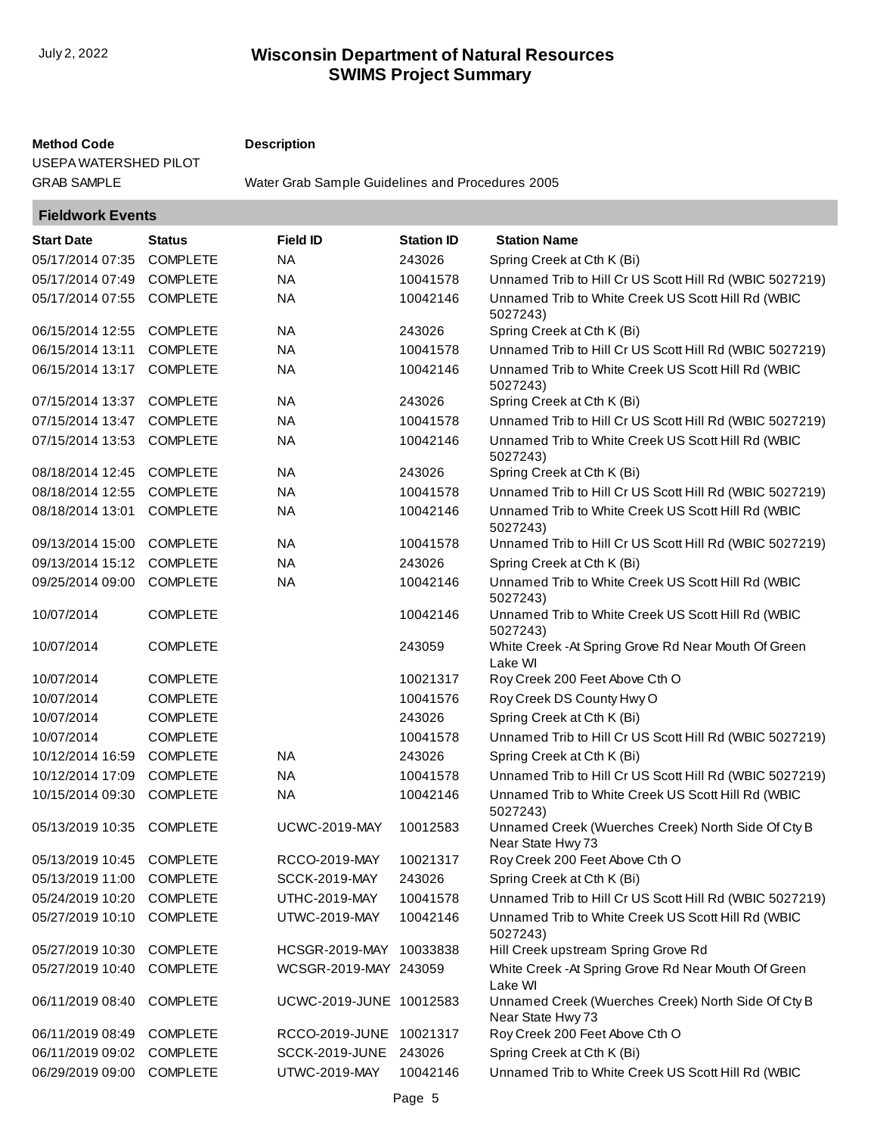### **Method Code Description**

[USEPA WATERSHED PILOT](http://prodoasint.dnr.wi.gov/swims/viewMethod.do?key=GRAB SAMPLE PROCEDURES USEPA WATERSHED PILOT)

GRAB SAMPLE [Water Grab Sample Guidelines and Procedures 2005](http://prodoasint.dnr.wi.gov/swims/viewMethod.do?key=GRAB SAMPLE)

| <b>Fieldwork Events</b> |  |
|-------------------------|--|
|-------------------------|--|

| <b>Start Date</b>         | <b>Status</b>   | <b>Field ID</b>         | <b>Station ID</b> | <b>Station Name</b>                                                     |
|---------------------------|-----------------|-------------------------|-------------------|-------------------------------------------------------------------------|
| 05/17/2014 07:35          | <b>COMPLETE</b> | <b>NA</b>               | 243026            | Spring Creek at Cth K (Bi)                                              |
| 05/17/2014 07:49          | <b>COMPLETE</b> | <b>NA</b>               | 10041578          | Unnamed Trib to Hill Cr US Scott Hill Rd (WBIC 5027219)                 |
| 05/17/2014 07:55          | <b>COMPLETE</b> | <b>NA</b>               | 10042146          | Unnamed Trib to White Creek US Scott Hill Rd (WBIC<br>5027243)          |
| 06/15/2014 12:55          | <b>COMPLETE</b> | <b>NA</b>               | 243026            | Spring Creek at Cth K (Bi)                                              |
| 06/15/2014 13:11          | <b>COMPLETE</b> | <b>NA</b>               | 10041578          | Unnamed Trib to Hill Cr US Scott Hill Rd (WBIC 5027219)                 |
| 06/15/2014 13:17          | <b>COMPLETE</b> | <b>NA</b>               | 10042146          | Unnamed Trib to White Creek US Scott Hill Rd (WBIC<br>5027243)          |
| 07/15/2014 13:37          | <b>COMPLETE</b> | <b>NA</b>               | 243026            | Spring Creek at Cth K (Bi)                                              |
| 07/15/2014 13:47          | <b>COMPLETE</b> | <b>NA</b>               | 10041578          | Unnamed Trib to Hill Cr US Scott Hill Rd (WBIC 5027219)                 |
| 07/15/2014 13:53          | <b>COMPLETE</b> | <b>NA</b>               | 10042146          | Unnamed Trib to White Creek US Scott Hill Rd (WBIC<br>5027243)          |
| 08/18/2014 12:45          | <b>COMPLETE</b> | <b>NA</b>               | 243026            | Spring Creek at Cth K (Bi)                                              |
| 08/18/2014 12:55          | <b>COMPLETE</b> | <b>NA</b>               | 10041578          | Unnamed Trib to Hill Cr US Scott Hill Rd (WBIC 5027219)                 |
| 08/18/2014 13:01          | <b>COMPLETE</b> | <b>NA</b>               | 10042146          | Unnamed Trib to White Creek US Scott Hill Rd (WBIC<br>5027243)          |
| 09/13/2014 15:00          | <b>COMPLETE</b> | <b>NA</b>               | 10041578          | Unnamed Trib to Hill Cr US Scott Hill Rd (WBIC 5027219)                 |
| 09/13/2014 15:12          | <b>COMPLETE</b> | <b>NA</b>               | 243026            | Spring Creek at Cth K (Bi)                                              |
| 09/25/2014 09:00          | <b>COMPLETE</b> | <b>NA</b>               | 10042146          | Unnamed Trib to White Creek US Scott Hill Rd (WBIC<br>5027243)          |
| 10/07/2014                | <b>COMPLETE</b> |                         | 10042146          | Unnamed Trib to White Creek US Scott Hill Rd (WBIC<br>5027243)          |
| 10/07/2014                | <b>COMPLETE</b> |                         | 243059            | White Creek - At Spring Grove Rd Near Mouth Of Green<br>Lake WI         |
| 10/07/2014                | <b>COMPLETE</b> |                         | 10021317          | Roy Creek 200 Feet Above Cth O                                          |
| 10/07/2014                | <b>COMPLETE</b> |                         | 10041576          | Roy Creek DS County Hwy O                                               |
| 10/07/2014                | <b>COMPLETE</b> |                         | 243026            | Spring Creek at Cth K (Bi)                                              |
| 10/07/2014                | <b>COMPLETE</b> |                         | 10041578          | Unnamed Trib to Hill Cr US Scott Hill Rd (WBIC 5027219)                 |
| 10/12/2014 16:59          | <b>COMPLETE</b> | <b>NA</b>               | 243026            | Spring Creek at Cth K (Bi)                                              |
| 10/12/2014 17:09          | <b>COMPLETE</b> | <b>NA</b>               | 10041578          | Unnamed Trib to Hill Cr US Scott Hill Rd (WBIC 5027219)                 |
| 10/15/2014 09:30          | <b>COMPLETE</b> | <b>NA</b>               | 10042146          | Unnamed Trib to White Creek US Scott Hill Rd (WBIC<br>5027243)          |
| 05/13/2019 10:35          | <b>COMPLETE</b> | <b>UCWC-2019-MAY</b>    | 10012583          | Unnamed Creek (Wuerches Creek) North Side Of Cty B<br>Near State Hwy 73 |
| 05/13/2019 10:45 COMPLETE |                 | RCCO-2019-MAY           | 10021317          | Roy Creek 200 Feet Above Cth O                                          |
| 05/13/2019 11:00          | <b>COMPLETE</b> | <b>SCCK-2019-MAY</b>    | 243026            | Spring Creek at Cth K (Bi)                                              |
| 05/24/2019 10:20          | <b>COMPLETE</b> | UTHC-2019-MAY           | 10041578          | Unnamed Trib to Hill Cr US Scott Hill Rd (WBIC 5027219)                 |
| 05/27/2019 10:10          | <b>COMPLETE</b> | <b>UTWC-2019-MAY</b>    | 10042146          | Unnamed Trib to White Creek US Scott Hill Rd (WBIC<br>5027243)          |
| 05/27/2019 10:30          | <b>COMPLETE</b> | HCSGR-2019-MAY 10033838 |                   | Hill Creek upstream Spring Grove Rd                                     |
| 05/27/2019 10:40          | <b>COMPLETE</b> | WCSGR-2019-MAY 243059   |                   | White Creek - At Spring Grove Rd Near Mouth Of Green<br>Lake WI         |
| 06/11/2019 08:40          | <b>COMPLETE</b> | UCWC-2019-JUNE 10012583 |                   | Unnamed Creek (Wuerches Creek) North Side Of Cty B<br>Near State Hwy 73 |
| 06/11/2019 08:49          | <b>COMPLETE</b> | RCCO-2019-JUNE 10021317 |                   | Roy Creek 200 Feet Above Cth O                                          |
| 06/11/2019 09:02          | <b>COMPLETE</b> | SCCK-2019-JUNE          | 243026            | Spring Creek at Cth K (Bi)                                              |
| 06/29/2019 09:00          | <b>COMPLETE</b> | UTWC-2019-MAY           | 10042146          | Unnamed Trib to White Creek US Scott Hill Rd (WBIC                      |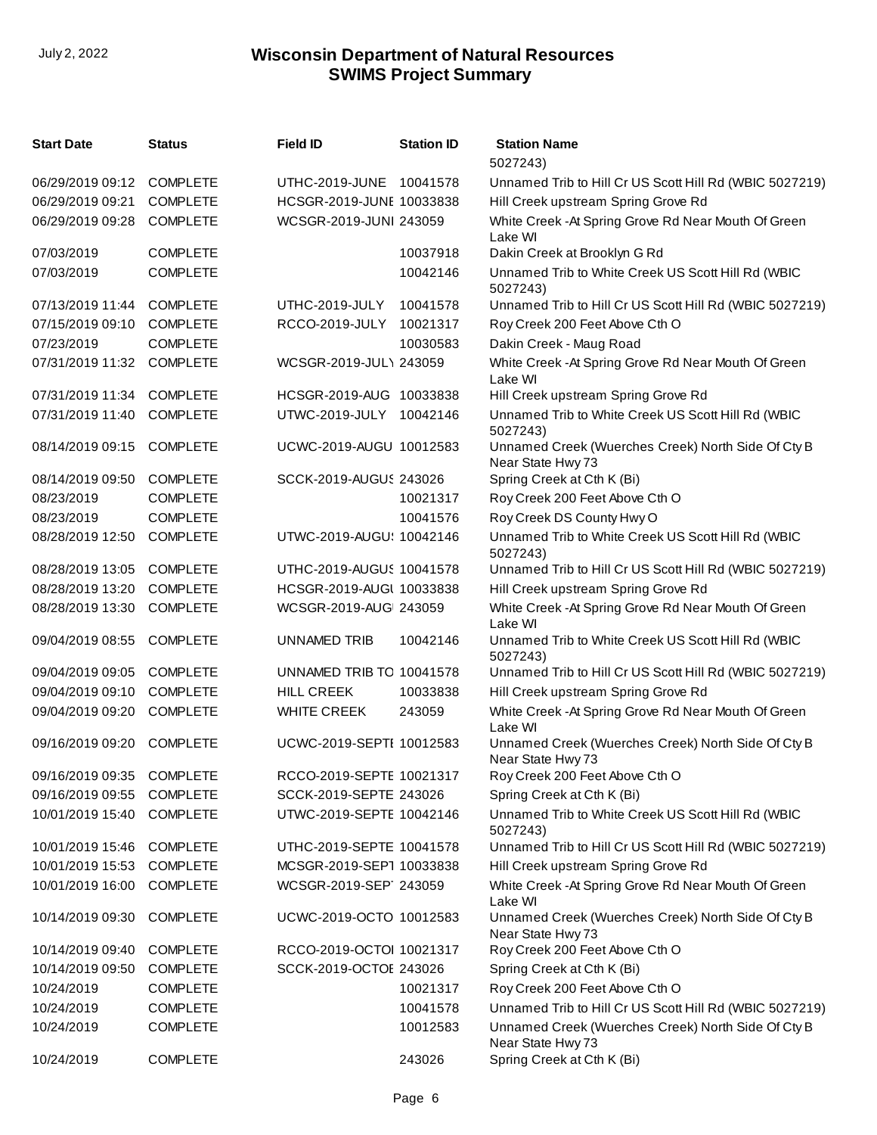| <b>Start Date</b>         | Status          | <b>Field ID</b>          | <b>Station ID</b> | <b>Station Name</b><br>5027243)                                         |
|---------------------------|-----------------|--------------------------|-------------------|-------------------------------------------------------------------------|
| 06/29/2019 09:12          | <b>COMPLETE</b> | UTHC-2019-JUNE           | 10041578          | Unnamed Trib to Hill Cr US Scott Hill Rd (WBIC 5027219)                 |
| 06/29/2019 09:21          | <b>COMPLETE</b> | HCSGR-2019-JUNE 10033838 |                   | Hill Creek upstream Spring Grove Rd                                     |
| 06/29/2019 09:28          | <b>COMPLETE</b> | WCSGR-2019-JUNI 243059   |                   | White Creek - At Spring Grove Rd Near Mouth Of Green<br>Lake WI         |
| 07/03/2019                | <b>COMPLETE</b> |                          | 10037918          | Dakin Creek at Brooklyn G Rd                                            |
| 07/03/2019                | <b>COMPLETE</b> |                          | 10042146          | Unnamed Trib to White Creek US Scott Hill Rd (WBIC<br>5027243)          |
| 07/13/2019 11:44          | <b>COMPLETE</b> | UTHC-2019-JULY           | 10041578          | Unnamed Trib to Hill Cr US Scott Hill Rd (WBIC 5027219)                 |
| 07/15/2019 09:10          | <b>COMPLETE</b> | <b>RCCO-2019-JULY</b>    | 10021317          | Roy Creek 200 Feet Above Cth O                                          |
| 07/23/2019                | <b>COMPLETE</b> |                          | 10030583          | Dakin Creek - Maug Road                                                 |
| 07/31/2019 11:32          | <b>COMPLETE</b> | WCSGR-2019-JUL\ 243059   |                   | White Creek - At Spring Grove Rd Near Mouth Of Green<br>Lake WI         |
| 07/31/2019 11:34          | <b>COMPLETE</b> | HCSGR-2019-AUG 10033838  |                   | Hill Creek upstream Spring Grove Rd                                     |
| 07/31/2019 11:40          | <b>COMPLETE</b> | UTWC-2019-JULY           | 10042146          | Unnamed Trib to White Creek US Scott Hill Rd (WBIC<br>5027243)          |
| 08/14/2019 09:15          | <b>COMPLETE</b> | UCWC-2019-AUGU 10012583  |                   | Unnamed Creek (Wuerches Creek) North Side Of Cty B<br>Near State Hwy 73 |
| 08/14/2019 09:50          | <b>COMPLETE</b> | SCCK-2019-AUGUS 243026   |                   | Spring Creek at Cth K (Bi)                                              |
| 08/23/2019                | <b>COMPLETE</b> |                          | 10021317          | Roy Creek 200 Feet Above Cth O                                          |
| 08/23/2019                | <b>COMPLETE</b> |                          | 10041576          | Roy Creek DS County Hwy O                                               |
| 08/28/2019 12:50          | <b>COMPLETE</b> | UTWC-2019-AUGU: 10042146 |                   | Unnamed Trib to White Creek US Scott Hill Rd (WBIC<br>5027243)          |
| 08/28/2019 13:05          | <b>COMPLETE</b> | UTHC-2019-AUGUS 10041578 |                   | Unnamed Trib to Hill Cr US Scott Hill Rd (WBIC 5027219)                 |
| 08/28/2019 13:20          | <b>COMPLETE</b> | HCSGR-2019-AUGL 10033838 |                   | Hill Creek upstream Spring Grove Rd                                     |
| 08/28/2019 13:30          | <b>COMPLETE</b> | WCSGR-2019-AUG 243059    |                   | White Creek - At Spring Grove Rd Near Mouth Of Green<br>Lake WI         |
| 09/04/2019 08:55          | <b>COMPLETE</b> | UNNAMED TRIB             | 10042146          | Unnamed Trib to White Creek US Scott Hill Rd (WBIC<br>5027243)          |
| 09/04/2019 09:05          | <b>COMPLETE</b> | UNNAMED TRIB TO 10041578 |                   | Unnamed Trib to Hill Cr US Scott Hill Rd (WBIC 5027219)                 |
| 09/04/2019 09:10          | <b>COMPLETE</b> | <b>HILL CREEK</b>        | 10033838          | Hill Creek upstream Spring Grove Rd                                     |
| 09/04/2019 09:20          | <b>COMPLETE</b> | <b>WHITE CREEK</b>       | 243059            | White Creek - At Spring Grove Rd Near Mouth Of Green<br>Lake WI         |
| 09/16/2019 09:20          | <b>COMPLETE</b> | UCWC-2019-SEPTI 10012583 |                   | Unnamed Creek (Wuerches Creek) North Side Of Cty B<br>Near State Hwy 73 |
| 09/16/2019 09:35 COMPLETE |                 | RCCO-2019-SEPTE 10021317 |                   | Roy Creek 200 Feet Above Cth O                                          |
| 09/16/2019 09:55          | <b>COMPLETE</b> | SCCK-2019-SEPTE 243026   |                   | Spring Creek at Cth K (Bi)                                              |
| 10/01/2019 15:40          | <b>COMPLETE</b> | UTWC-2019-SEPTE 10042146 |                   | Unnamed Trib to White Creek US Scott Hill Rd (WBIC<br>5027243)          |
| 10/01/2019 15:46          | <b>COMPLETE</b> | UTHC-2019-SEPTE 10041578 |                   | Unnamed Trib to Hill Cr US Scott Hill Rd (WBIC 5027219)                 |
| 10/01/2019 15:53          | <b>COMPLETE</b> | MCSGR-2019-SEP1 10033838 |                   | Hill Creek upstream Spring Grove Rd                                     |
| 10/01/2019 16:00          | <b>COMPLETE</b> | WCSGR-2019-SEP 243059    |                   | White Creek - At Spring Grove Rd Near Mouth Of Green<br>Lake WI         |
| 10/14/2019 09:30          | <b>COMPLETE</b> | UCWC-2019-OCTO 10012583  |                   | Unnamed Creek (Wuerches Creek) North Side Of Cty B<br>Near State Hwy 73 |
| 10/14/2019 09:40          | <b>COMPLETE</b> | RCCO-2019-OCTOI 10021317 |                   | Roy Creek 200 Feet Above Cth O                                          |
| 10/14/2019 09:50          | <b>COMPLETE</b> | SCCK-2019-OCTOE 243026   |                   | Spring Creek at Cth K (Bi)                                              |
| 10/24/2019                | <b>COMPLETE</b> |                          | 10021317          | Roy Creek 200 Feet Above Cth O                                          |
| 10/24/2019                | <b>COMPLETE</b> |                          | 10041578          | Unnamed Trib to Hill Cr US Scott Hill Rd (WBIC 5027219)                 |
| 10/24/2019                | <b>COMPLETE</b> |                          | 10012583          | Unnamed Creek (Wuerches Creek) North Side Of Cty B<br>Near State Hwy 73 |
| 10/24/2019                | <b>COMPLETE</b> |                          | 243026            | Spring Creek at Cth K (Bi)                                              |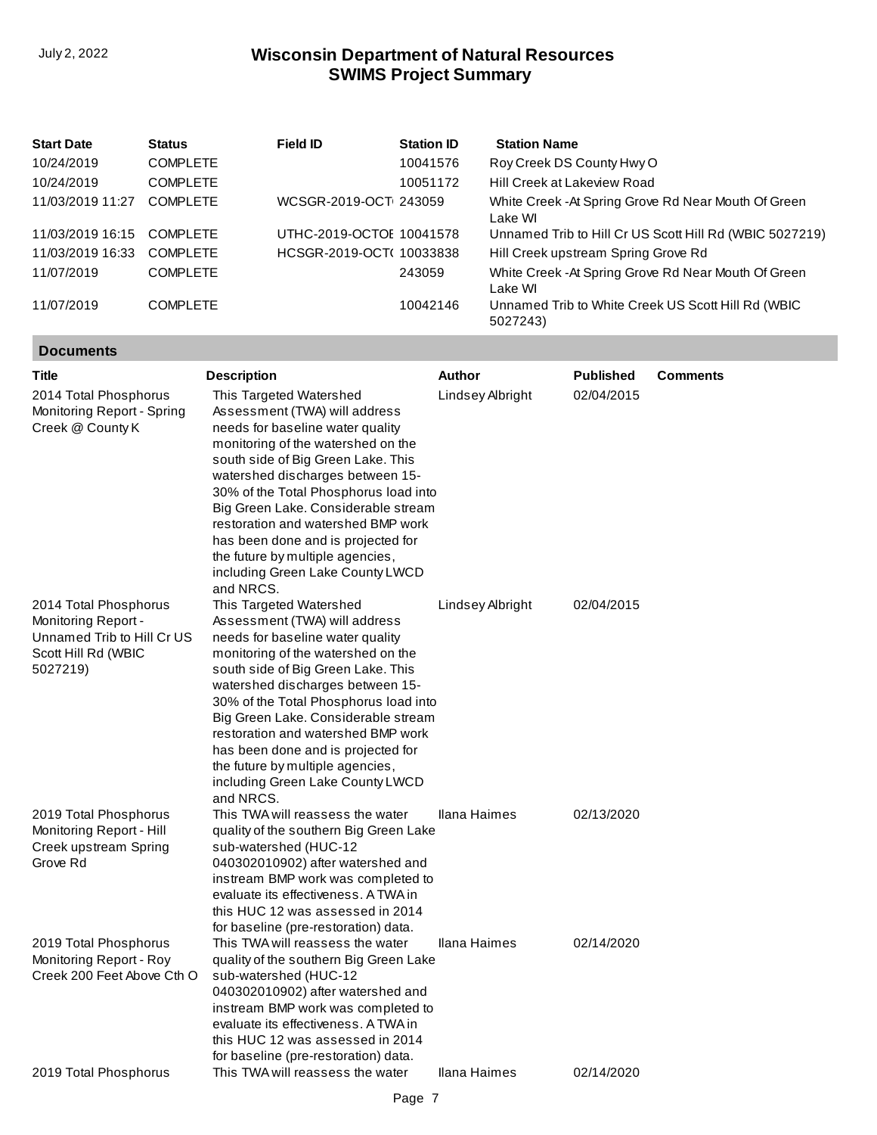| <b>Start Date</b> | <b>Status</b>   | Field ID                 | <b>Station ID</b> | <b>Station Name</b>                                             |
|-------------------|-----------------|--------------------------|-------------------|-----------------------------------------------------------------|
| 10/24/2019        | <b>COMPLETE</b> |                          | 10041576          | Roy Creek DS County Hwy O                                       |
| 10/24/2019        | <b>COMPLETE</b> |                          | 10051172          | Hill Creek at Lakeview Road                                     |
| 11/03/2019 11:27  | <b>COMPLETE</b> | WCSGR-2019-OCT 243059    |                   | White Creek - At Spring Grove Rd Near Mouth Of Green<br>Lake WI |
| 11/03/2019 16:15  | <b>COMPLETE</b> | UTHC-2019-OCTOE 10041578 |                   | Unnamed Trib to Hill Cr US Scott Hill Rd (WBIC 5027219)         |
| 11/03/2019 16:33  | <b>COMPLETE</b> | HCSGR-2019-OCT( 10033838 |                   | Hill Creek upstream Spring Grove Rd                             |
| 11/07/2019        | <b>COMPLETE</b> |                          | 243059            | White Creek - At Spring Grove Rd Near Mouth Of Green<br>Lake WI |
| 11/07/2019        | <b>COMPLETE</b> |                          | 10042146          | Unnamed Trib to White Creek US Scott Hill Rd (WBIC<br>5027243)  |

# **Documents**

| <b>Title</b>                                                                                                  | <b>Description</b>                                                                                                                                                                                                                                                                                                                                                                                                                                            | <b>Author</b>       | <b>Published</b> | <b>Comments</b> |
|---------------------------------------------------------------------------------------------------------------|---------------------------------------------------------------------------------------------------------------------------------------------------------------------------------------------------------------------------------------------------------------------------------------------------------------------------------------------------------------------------------------------------------------------------------------------------------------|---------------------|------------------|-----------------|
| 2014 Total Phosphorus<br>Monitoring Report - Spring<br>Creek @ County K                                       | This Targeted Watershed<br>Assessment (TWA) will address<br>needs for baseline water quality<br>monitoring of the watershed on the<br>south side of Big Green Lake. This<br>watershed discharges between 15-<br>30% of the Total Phosphorus load into<br>Big Green Lake. Considerable stream<br>restoration and watershed BMP work<br>has been done and is projected for<br>the future by multiple agencies,<br>including Green Lake County LWCD<br>and NRCS. | Lindsey Albright    | 02/04/2015       |                 |
| 2014 Total Phosphorus<br>Monitoring Report -<br>Unnamed Trib to Hill Cr US<br>Scott Hill Rd (WBIC<br>5027219) | This Targeted Watershed<br>Assessment (TWA) will address<br>needs for baseline water quality<br>monitoring of the watershed on the<br>south side of Big Green Lake. This<br>watershed discharges between 15-<br>30% of the Total Phosphorus load into<br>Big Green Lake. Considerable stream<br>restoration and watershed BMP work<br>has been done and is projected for<br>the future by multiple agencies,<br>including Green Lake County LWCD<br>and NRCS. | Lindsey Albright    | 02/04/2015       |                 |
| 2019 Total Phosphorus<br>Monitoring Report - Hill<br>Creek upstream Spring<br>Grove Rd                        | This TWA will reassess the water<br>quality of the southern Big Green Lake<br>sub-watershed (HUC-12<br>040302010902) after watershed and<br>instream BMP work was completed to<br>evaluate its effectiveness. A TWA in<br>this HUC 12 was assessed in 2014<br>for baseline (pre-restoration) data.                                                                                                                                                            | Ilana Haimes        | 02/13/2020       |                 |
| 2019 Total Phosphorus<br>Monitoring Report - Roy<br>Creek 200 Feet Above Cth O                                | This TWA will reassess the water<br>quality of the southern Big Green Lake<br>sub-watershed (HUC-12<br>040302010902) after watershed and<br>instream BMP work was completed to<br>evaluate its effectiveness. A TWA in<br>this HUC 12 was assessed in 2014<br>for baseline (pre-restoration) data.                                                                                                                                                            | <b>Ilana Haimes</b> | 02/14/2020       |                 |
| 2019 Total Phosphorus                                                                                         | This TWA will reassess the water                                                                                                                                                                                                                                                                                                                                                                                                                              | Ilana Haimes        | 02/14/2020       |                 |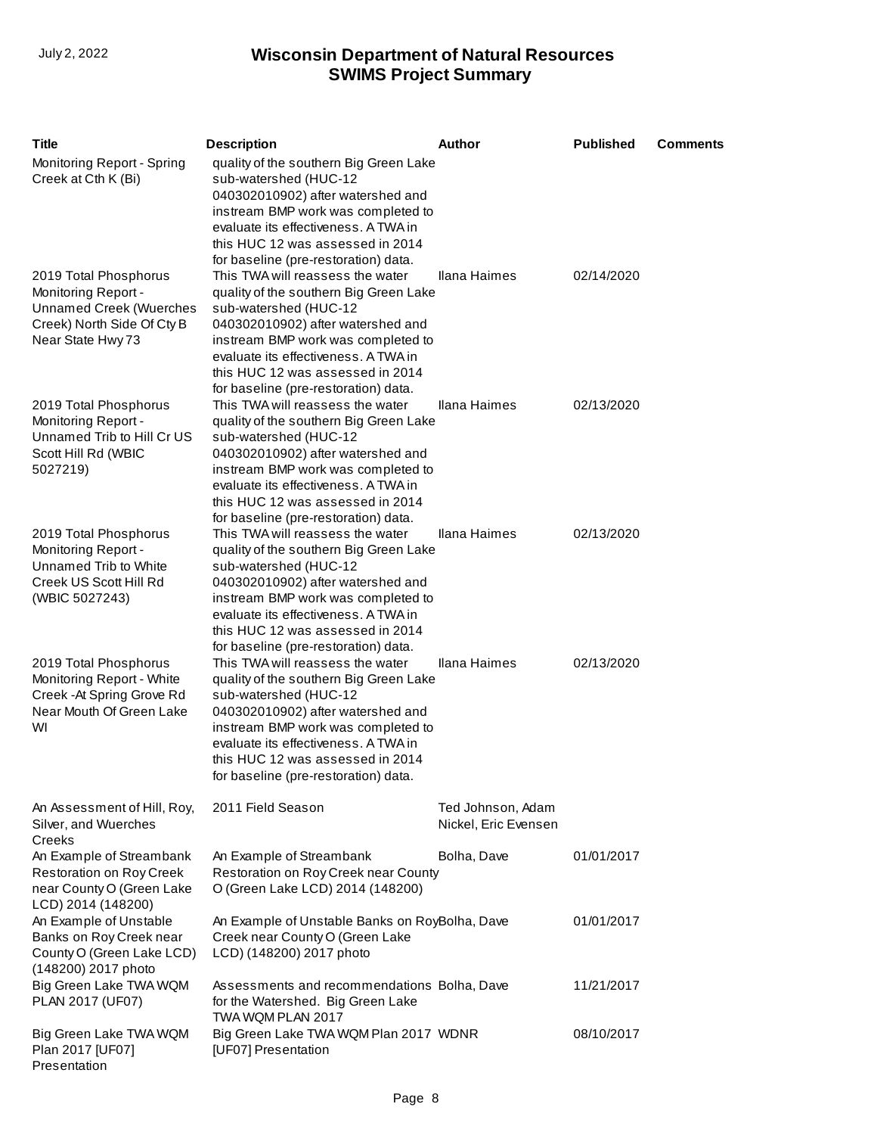| <b>Title</b>                                                                                                                      | <b>Description</b>                                                                                                                                                                                                                                                                                 | <b>Author</b>                             | <b>Published</b> | Comments |
|-----------------------------------------------------------------------------------------------------------------------------------|----------------------------------------------------------------------------------------------------------------------------------------------------------------------------------------------------------------------------------------------------------------------------------------------------|-------------------------------------------|------------------|----------|
| Monitoring Report - Spring<br>Creek at Cth K (Bi)                                                                                 | quality of the southern Big Green Lake<br>sub-watershed (HUC-12<br>040302010902) after watershed and<br>instream BMP work was completed to<br>evaluate its effectiveness. A TWA in<br>this HUC 12 was assessed in 2014<br>for baseline (pre-restoration) data.                                     |                                           |                  |          |
| 2019 Total Phosphorus<br>Monitoring Report -<br><b>Unnamed Creek (Wuerches</b><br>Creek) North Side Of Cty B<br>Near State Hwy 73 | This TWA will reassess the water<br>quality of the southern Big Green Lake<br>sub-watershed (HUC-12<br>040302010902) after watershed and<br>instream BMP work was completed to<br>evaluate its effectiveness. A TWA in<br>this HUC 12 was assessed in 2014<br>for baseline (pre-restoration) data. | <b>Ilana Haimes</b>                       | 02/14/2020       |          |
| 2019 Total Phosphorus<br>Monitoring Report -<br>Unnamed Trib to Hill Cr US<br>Scott Hill Rd (WBIC<br>5027219)                     | This TWA will reassess the water<br>quality of the southern Big Green Lake<br>sub-watershed (HUC-12<br>040302010902) after watershed and<br>instream BMP work was completed to<br>evaluate its effectiveness. A TWA in<br>this HUC 12 was assessed in 2014<br>for baseline (pre-restoration) data. | Ilana Haimes                              | 02/13/2020       |          |
| 2019 Total Phosphorus<br>Monitoring Report -<br>Unnamed Trib to White<br>Creek US Scott Hill Rd<br>(WBIC 5027243)                 | This TWA will reassess the water<br>quality of the southern Big Green Lake<br>sub-watershed (HUC-12<br>040302010902) after watershed and<br>instream BMP work was completed to<br>evaluate its effectiveness. A TWA in<br>this HUC 12 was assessed in 2014<br>for baseline (pre-restoration) data. | <b>Ilana Haimes</b>                       | 02/13/2020       |          |
| 2019 Total Phosphorus<br>Monitoring Report - White<br>Creek - At Spring Grove Rd<br>Near Mouth Of Green Lake<br>WI                | This TWA will reassess the water<br>quality of the southern Big Green Lake<br>sub-watershed (HUC-12<br>040302010902) after watershed and<br>instream BMP work was completed to<br>evaluate its effectiveness. A TWA in<br>this HUC 12 was assessed in 2014<br>for baseline (pre-restoration) data. | Ilana Haimes                              | 02/13/2020       |          |
| An Assessment of Hill, Roy,<br>Silver, and Wuerches<br>Creeks                                                                     | 2011 Field Season                                                                                                                                                                                                                                                                                  | Ted Johnson, Adam<br>Nickel, Eric Evensen |                  |          |
| An Example of Streambank<br><b>Restoration on Roy Creek</b><br>near County O (Green Lake<br>LCD) 2014 (148200)                    | An Example of Streambank<br>Restoration on Roy Creek near County<br>O (Green Lake LCD) 2014 (148200)                                                                                                                                                                                               | Bolha, Dave                               | 01/01/2017       |          |
| An Example of Unstable<br>Banks on Roy Creek near<br>County O (Green Lake LCD)<br>(148200) 2017 photo                             | An Example of Unstable Banks on RoyBolha, Dave<br>Creek near County O (Green Lake<br>LCD) (148200) 2017 photo                                                                                                                                                                                      |                                           | 01/01/2017       |          |
| Big Green Lake TWA WQM<br>PLAN 2017 (UF07)                                                                                        | Assessments and recommendations Bolha, Dave<br>for the Watershed. Big Green Lake<br>TWA WQM PLAN 2017                                                                                                                                                                                              |                                           | 11/21/2017       |          |
| Big Green Lake TWA WQM<br>Plan 2017 [UF07]<br>Presentation                                                                        | Big Green Lake TWA WQM Plan 2017 WDNR<br>[UF07] Presentation                                                                                                                                                                                                                                       |                                           | 08/10/2017       |          |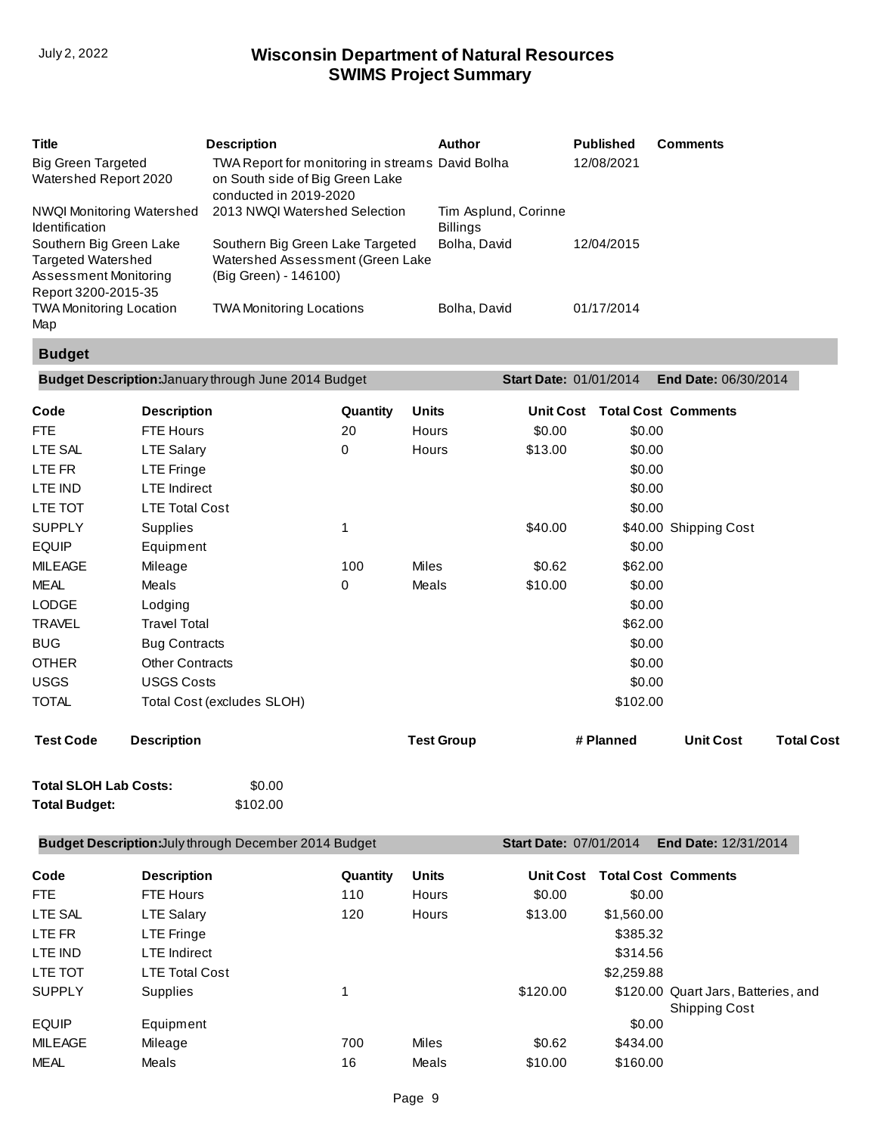| <b>Title</b>                                                                                         | <b>Description</b>                                                                                            | Author                                  | <b>Published</b> | <b>Comments</b> |
|------------------------------------------------------------------------------------------------------|---------------------------------------------------------------------------------------------------------------|-----------------------------------------|------------------|-----------------|
| <b>Big Green Targeted</b><br>Watershed Report 2020                                                   | TWA Report for monitoring in streams David Bolha<br>on South side of Big Green Lake<br>conducted in 2019-2020 |                                         | 12/08/2021       |                 |
| <b>NWQI Monitoring Watershed</b><br><b>Identification</b>                                            | 2013 NWQI Watershed Selection                                                                                 | Tim Asplund, Corinne<br><b>Billings</b> |                  |                 |
| Southern Big Green Lake<br><b>Targeted Watershed</b><br>Assessment Monitoring<br>Report 3200-2015-35 | Southern Big Green Lake Targeted<br>Watershed Assessment (Green Lake<br>(Big Green) - 146100)                 | Bolha, David                            | 12/04/2015       |                 |
| <b>TWA Monitoring Location</b><br>Map                                                                | <b>TWA Monitoring Locations</b>                                                                               | Bolha, David                            | 01/17/2014       |                 |

# **Budget**

| <b>Description</b><br>FTE Hours<br><b>LTE Salary</b><br><b>LTE Fringe</b><br><b>LTE</b> Indirect<br><b>LTE Total Cost</b> | Quantity<br>20<br>0                    | Units<br>Hours<br>Hours | <b>Unit Cost</b><br>\$0.00<br>\$13.00 | \$0.00<br>\$0.00<br>\$0.00 | <b>Total Cost Comments</b> |                                                                                            |
|---------------------------------------------------------------------------------------------------------------------------|----------------------------------------|-------------------------|---------------------------------------|----------------------------|----------------------------|--------------------------------------------------------------------------------------------|
|                                                                                                                           |                                        |                         |                                       |                            |                            |                                                                                            |
|                                                                                                                           |                                        |                         |                                       |                            |                            |                                                                                            |
|                                                                                                                           |                                        |                         |                                       |                            |                            |                                                                                            |
|                                                                                                                           |                                        |                         |                                       |                            |                            |                                                                                            |
|                                                                                                                           |                                        |                         |                                       | \$0.00                     |                            |                                                                                            |
|                                                                                                                           |                                        |                         |                                       | \$0.00                     |                            |                                                                                            |
| Supplies                                                                                                                  | $\mathbf{1}$                           |                         | \$40.00                               |                            | \$40.00 Shipping Cost      |                                                                                            |
| Equipment                                                                                                                 |                                        |                         |                                       |                            |                            |                                                                                            |
| Mileage                                                                                                                   | 100                                    | Miles                   | \$0.62                                |                            |                            |                                                                                            |
| Meals                                                                                                                     | 0                                      | Meals                   | \$10.00                               |                            |                            |                                                                                            |
| Lodging                                                                                                                   |                                        |                         |                                       |                            |                            |                                                                                            |
| <b>Travel Total</b>                                                                                                       |                                        |                         |                                       |                            |                            |                                                                                            |
| <b>Bug Contracts</b>                                                                                                      |                                        |                         |                                       |                            |                            |                                                                                            |
| <b>Other Contracts</b>                                                                                                    |                                        |                         |                                       |                            |                            |                                                                                            |
| <b>USGS Costs</b>                                                                                                         |                                        |                         |                                       |                            |                            |                                                                                            |
| Total Cost (excludes SLOH)                                                                                                |                                        |                         |                                       |                            |                            |                                                                                            |
| <b>Description</b>                                                                                                        |                                        | <b>Test Group</b>       |                                       |                            | <b>Unit Cost</b>           | <b>Total Cost</b>                                                                          |
|                                                                                                                           | \$0.00<br><b>Total SLOH Lab Costs:</b> |                         |                                       |                            | # Planned                  | \$0.00<br>\$62.00<br>\$0.00<br>\$0.00<br>\$62.00<br>\$0.00<br>\$0.00<br>\$0.00<br>\$102.00 |

# **Total Budget:** \$102.00

| <b>Budget Description: July through December 2014 Budget</b> |                       |          |              | <b>Start Date: 07/01/2014</b> |            | <b>End Date: 12/31/2014</b>                                 |
|--------------------------------------------------------------|-----------------------|----------|--------------|-------------------------------|------------|-------------------------------------------------------------|
| Code                                                         | <b>Description</b>    | Quantity | <b>Units</b> | <b>Unit Cost</b>              |            | <b>Total Cost Comments</b>                                  |
| FTE                                                          | <b>FTE Hours</b>      | 110      | <b>Hours</b> | \$0.00                        | \$0.00     |                                                             |
| LTE SAL                                                      | <b>LTE Salary</b>     | 120      | Hours        | \$13.00                       | \$1,560.00 |                                                             |
| LTE FR                                                       | <b>LTE Fringe</b>     |          |              |                               | \$385.32   |                                                             |
| LTE IND                                                      | <b>LTE</b> Indirect   |          |              |                               | \$314.56   |                                                             |
| LTE TOT                                                      | <b>LTE Total Cost</b> |          |              |                               | \$2,259.88 |                                                             |
| <b>SUPPLY</b>                                                | <b>Supplies</b>       |          |              | \$120.00                      |            | \$120.00 Quart Jars, Batteries, and<br><b>Shipping Cost</b> |
| <b>EQUIP</b>                                                 | Equipment             |          |              |                               | \$0.00     |                                                             |
| <b>MILEAGE</b>                                               | Mileage               | 700      | Miles        | \$0.62                        | \$434.00   |                                                             |
| <b>MEAL</b>                                                  | Meals                 | 16       | Meals        | \$10.00                       | \$160.00   |                                                             |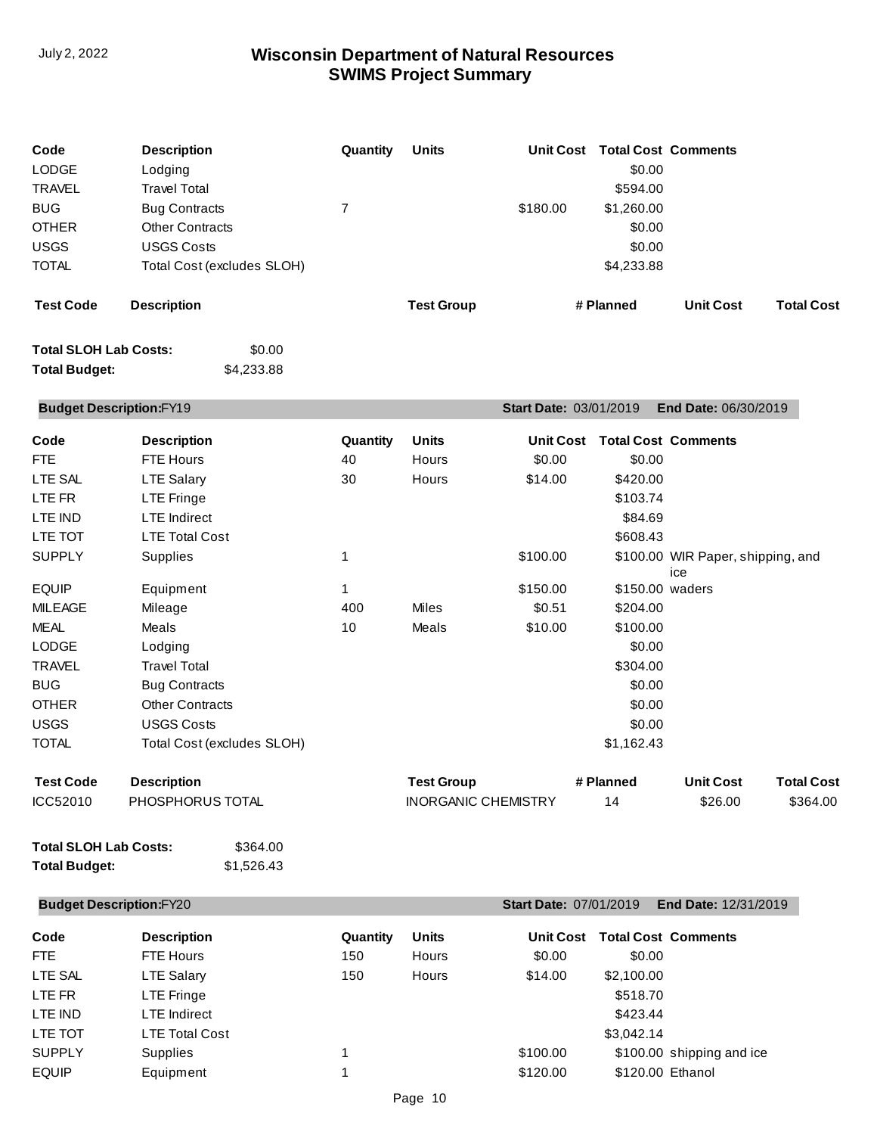| Code<br>LODGE<br><b>TRAVEL</b> | <b>Description</b><br>Lodging<br><b>Travel Total</b> | Quantity       | <b>Units</b>               |                        | Unit Cost Total Cost Comments<br>\$0.00<br>\$594.00 |                                          |                   |
|--------------------------------|------------------------------------------------------|----------------|----------------------------|------------------------|-----------------------------------------------------|------------------------------------------|-------------------|
| <b>BUG</b>                     | <b>Bug Contracts</b>                                 | $\overline{7}$ |                            | \$180.00               | \$1,260.00                                          |                                          |                   |
| <b>OTHER</b>                   | <b>Other Contracts</b>                               |                |                            |                        | \$0.00                                              |                                          |                   |
| <b>USGS</b>                    | <b>USGS Costs</b>                                    |                |                            |                        | \$0.00                                              |                                          |                   |
| <b>TOTAL</b>                   | Total Cost (excludes SLOH)                           |                |                            |                        | \$4,233.88                                          |                                          |                   |
| <b>Test Code</b>               | <b>Description</b>                                   |                | <b>Test Group</b>          |                        | # Planned                                           | <b>Unit Cost</b>                         | <b>Total Cost</b> |
| <b>Total SLOH Lab Costs:</b>   | \$0.00                                               |                |                            |                        |                                                     |                                          |                   |
| <b>Total Budget:</b>           | \$4,233.88                                           |                |                            |                        |                                                     |                                          |                   |
| <b>Budget Description:FY19</b> |                                                      |                |                            | Start Date: 03/01/2019 |                                                     | End Date: 06/30/2019                     |                   |
| Code                           | <b>Description</b>                                   | Quantity       | <b>Units</b>               |                        | Unit Cost Total Cost Comments                       |                                          |                   |
| <b>FTE</b>                     | <b>FTE Hours</b>                                     | 40             | <b>Hours</b>               | \$0.00                 | \$0.00                                              |                                          |                   |
| LTE SAL                        | <b>LTE Salary</b>                                    | 30             | Hours                      | \$14.00                | \$420.00                                            |                                          |                   |
| LTE FR                         | <b>LTE Fringe</b>                                    |                |                            |                        | \$103.74                                            |                                          |                   |
| LTE IND                        | <b>LTE</b> Indirect                                  |                |                            |                        | \$84.69                                             |                                          |                   |
| LTE TOT                        | <b>LTE Total Cost</b>                                |                |                            |                        | \$608.43                                            |                                          |                   |
| <b>SUPPLY</b>                  | Supplies                                             | 1              |                            | \$100.00               |                                                     | \$100.00 WIR Paper, shipping, and<br>ice |                   |
| <b>EQUIP</b>                   | Equipment                                            | 1              |                            | \$150.00               | \$150.00 waders                                     |                                          |                   |
| <b>MILEAGE</b>                 | Mileage                                              | 400            | <b>Miles</b>               | \$0.51                 | \$204.00                                            |                                          |                   |
| <b>MEAL</b>                    | Meals                                                | 10             | <b>Meals</b>               | \$10.00                | \$100.00                                            |                                          |                   |
| <b>LODGE</b>                   | Lodging                                              |                |                            |                        | \$0.00                                              |                                          |                   |
| <b>TRAVEL</b>                  | <b>Travel Total</b>                                  |                |                            |                        | \$304.00                                            |                                          |                   |
| <b>BUG</b>                     | <b>Bug Contracts</b>                                 |                |                            |                        | \$0.00                                              |                                          |                   |
| <b>OTHER</b>                   | <b>Other Contracts</b>                               |                |                            |                        | \$0.00                                              |                                          |                   |
| <b>USGS</b>                    | <b>USGS Costs</b>                                    |                |                            |                        | \$0.00                                              |                                          |                   |
| <b>TOTAL</b>                   | Total Cost (excludes SLOH)                           |                |                            |                        | \$1,162.43                                          |                                          |                   |
| <b>Test Code</b>               | <b>Description</b>                                   |                | <b>Test Group</b>          |                        | # Planned                                           | <b>Unit Cost</b>                         | <b>Total Cost</b> |
| ICC52010                       | PHOSPHORUS TOTAL                                     |                | <b>INORGANIC CHEMISTRY</b> |                        | 14                                                  | \$26.00                                  | \$364.00          |
| <b>Total SLOH Lab Costs:</b>   | \$364.00                                             |                |                            |                        |                                                     |                                          |                   |

# **Total Budget:**

\$1,526.43

|               | <b>Budget Description:FY20</b> |          |              | <b>Start Date: 07/01/2019</b> |                  | <b>End Date: 12/31/2019</b> |
|---------------|--------------------------------|----------|--------------|-------------------------------|------------------|-----------------------------|
| Code          | <b>Description</b>             | Quantity | <b>Units</b> | <b>Unit Cost</b>              |                  | <b>Total Cost Comments</b>  |
| FTE.          | <b>FTE Hours</b>               | 150      | <b>Hours</b> | \$0.00                        | \$0.00           |                             |
| LTE SAL       | <b>LTE Salary</b>              | 150      | <b>Hours</b> | \$14.00                       | \$2,100.00       |                             |
| LTE FR        | <b>LTE Fringe</b>              |          |              |                               | \$518.70         |                             |
| LTE IND       | <b>LTE</b> Indirect            |          |              |                               | \$423.44         |                             |
| LTE TOT       | <b>LTE Total Cost</b>          |          |              |                               | \$3.042.14       |                             |
| <b>SUPPLY</b> | <b>Supplies</b>                |          |              | \$100.00                      |                  | \$100.00 shipping and ice   |
| <b>EQUIP</b>  | Equipment                      |          |              | \$120.00                      | \$120.00 Ethanol |                             |